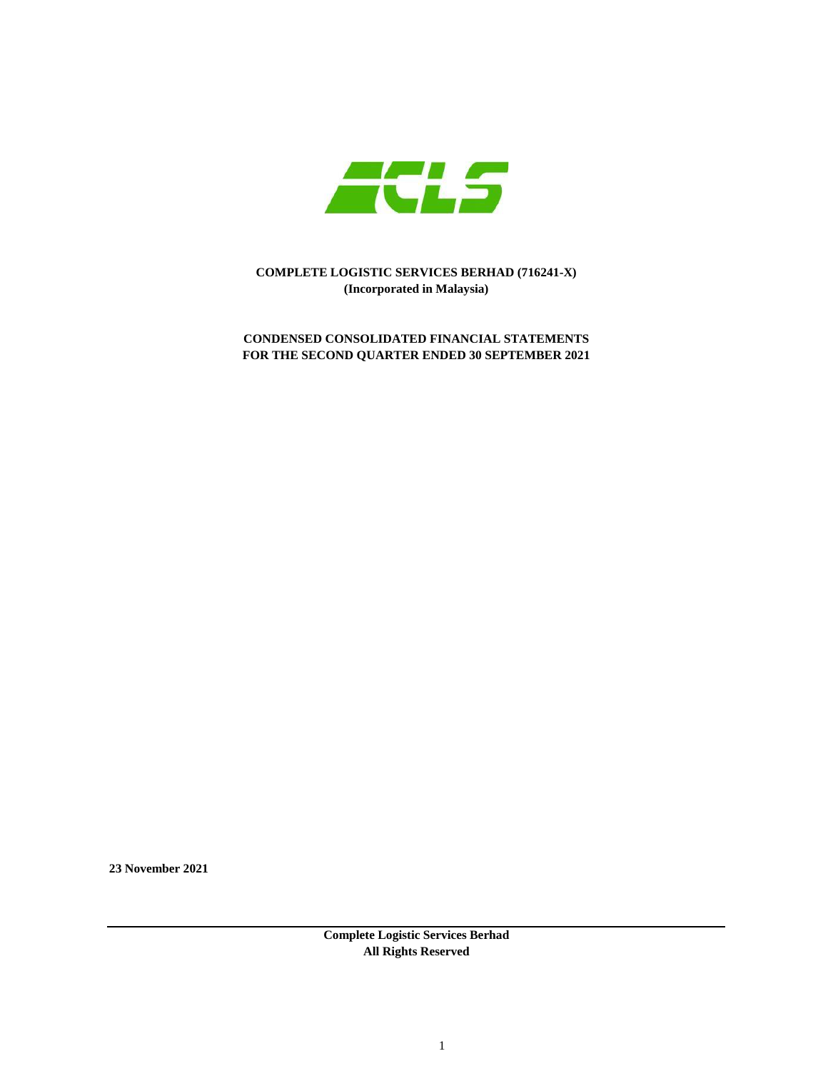

**CONDENSED CONSOLIDATED FINANCIAL STATEMENTS FOR THE SECOND QUARTER ENDED 30 SEPTEMBER 2021**

**23 November 2021**

**Complete Logistic Services Berhad All Rights Reserved**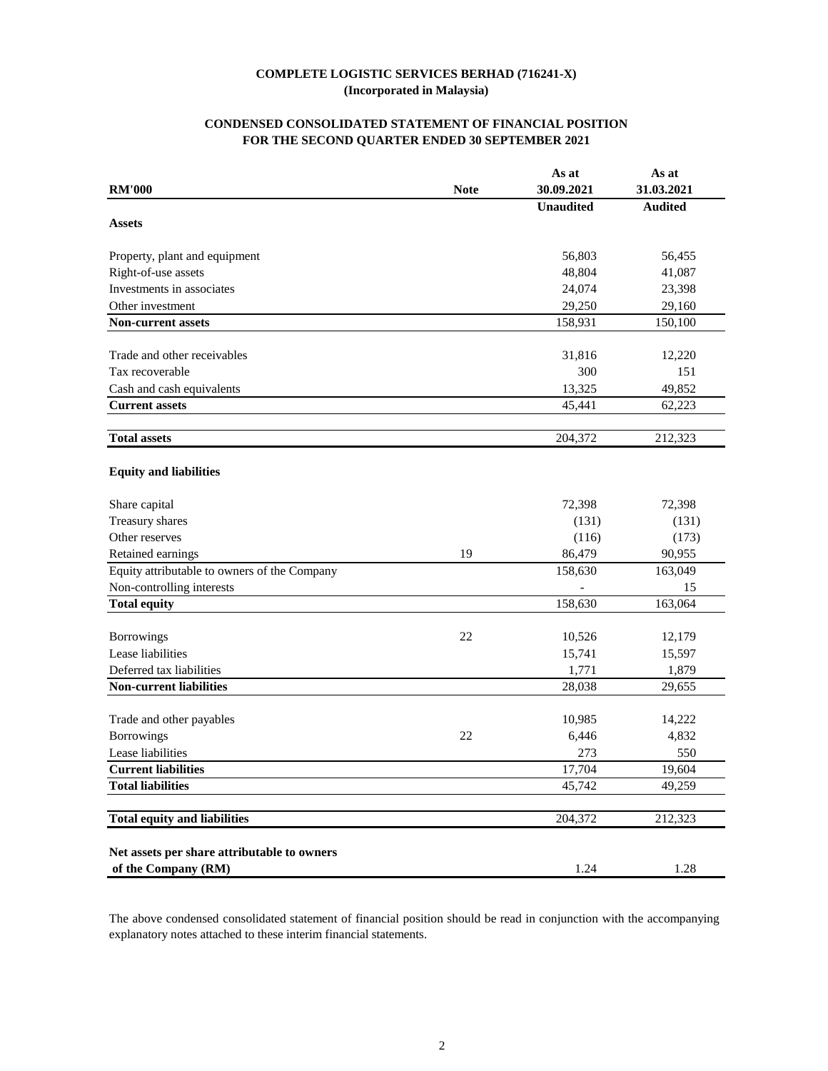# **CONDENSED CONSOLIDATED STATEMENT OF FINANCIAL POSITION FOR THE SECOND QUARTER ENDED 30 SEPTEMBER 2021**

|                                                                    |             | As at            | As at               |
|--------------------------------------------------------------------|-------------|------------------|---------------------|
| <b>RM'000</b>                                                      | <b>Note</b> | 30.09.2021       | 31.03.2021          |
|                                                                    |             | <b>Unaudited</b> | <b>Audited</b>      |
| <b>Assets</b>                                                      |             |                  |                     |
| Property, plant and equipment                                      |             | 56,803           | 56,455              |
| Right-of-use assets                                                |             | 48,804           | 41,087              |
| Investments in associates                                          |             | 24,074           | 23,398              |
| Other investment                                                   |             | 29,250           | 29,160              |
| <b>Non-current assets</b>                                          |             | 158,931          | 150,100             |
| Trade and other receivables                                        |             | 31,816           | 12,220              |
| Tax recoverable                                                    |             | 300              | 151                 |
| Cash and cash equivalents                                          |             | 13,325           | 49,852              |
| <b>Current assets</b>                                              |             | 45,441           | 62,223              |
|                                                                    |             |                  |                     |
| <b>Total assets</b>                                                |             | 204,372          | 212,323             |
| <b>Equity and liabilities</b>                                      |             |                  |                     |
| Share capital                                                      |             | 72,398           | 72,398              |
| Treasury shares                                                    |             | (131)            | (131)               |
| Other reserves                                                     |             | (116)            | (173)               |
| Retained earnings                                                  | 19          | 86,479           | 90,955              |
| Equity attributable to owners of the Company                       |             | 158,630          | 163,049             |
| Non-controlling interests                                          |             |                  | 15                  |
| <b>Total equity</b>                                                |             | 158,630          | 163,064             |
| Borrowings                                                         | 22          | 10,526           | 12,179              |
| Lease liabilities                                                  |             | 15,741           | 15,597              |
| Deferred tax liabilities                                           |             | 1,771            | 1,879               |
| <b>Non-current liabilities</b>                                     |             | 28,038           | 29,655              |
|                                                                    |             |                  |                     |
| Trade and other payables                                           |             | 10,985           | 14,222              |
| <b>Borrowings</b>                                                  | 22          | 6,446            | 4,832               |
| Lease liabilities                                                  |             | 273              | 550                 |
| <b>Current liabilities</b>                                         |             | 17,704           | $\overline{19,604}$ |
| <b>Total liabilities</b>                                           |             | 45,742           | 49,259              |
| <b>Total equity and liabilities</b>                                |             | 204,372          | 212,323             |
| Net assets per share attributable to owners<br>of the Company (RM) |             | 1.24             | 1.28                |

The above condensed consolidated statement of financial position should be read in conjunction with the accompanying explanatory notes attached to these interim financial statements.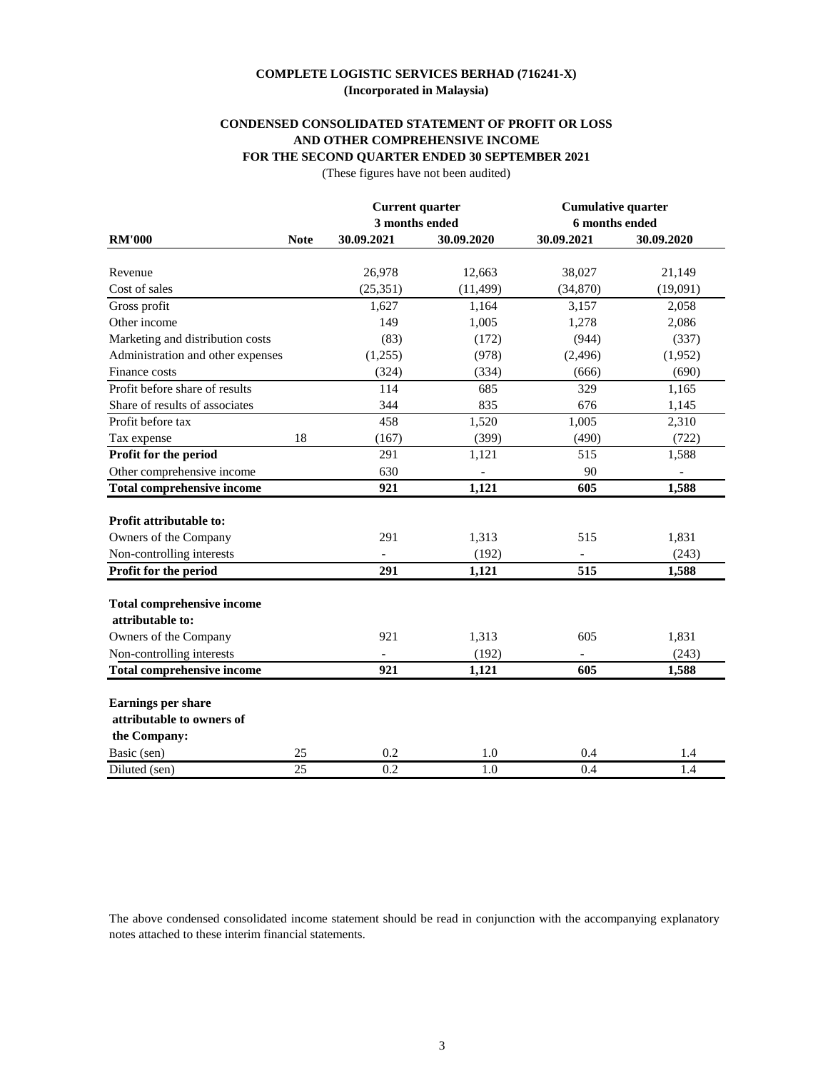# **CONDENSED CONSOLIDATED STATEMENT OF PROFIT OR LOSS AND OTHER COMPREHENSIVE INCOME FOR THE SECOND QUARTER ENDED 30 SEPTEMBER 2021**

(These figures have not been audited)

|                                   |             | <b>Current quarter</b> |            | <b>Cumulative quarter</b> |                  |  |
|-----------------------------------|-------------|------------------------|------------|---------------------------|------------------|--|
|                                   |             | 3 months ended         |            | 6 months ended            |                  |  |
| <b>RM'000</b>                     | <b>Note</b> | 30.09.2021             | 30.09.2020 | 30.09.2021                | 30.09.2020       |  |
|                                   |             |                        |            |                           |                  |  |
| Revenue                           |             | 26,978                 | 12,663     | 38,027                    | 21,149           |  |
| Cost of sales                     |             | (25,351)               | (11, 499)  | (34,870)                  | (19,091)         |  |
| Gross profit                      |             | 1,627                  | 1,164      | 3,157                     | 2,058            |  |
| Other income                      |             | 149                    | 1,005      | 1,278                     | 2,086            |  |
| Marketing and distribution costs  |             | (83)                   | (172)      | (944)                     | (337)            |  |
| Administration and other expenses |             | (1,255)                | (978)      | (2, 496)                  | (1,952)          |  |
| Finance costs                     |             | (324)                  | (334)      | (666)                     | (690)            |  |
| Profit before share of results    |             | 114                    | 685        | 329                       | 1,165            |  |
| Share of results of associates    |             | 344                    | 835        | 676                       | 1,145            |  |
| Profit before tax                 |             | 458                    | 1,520      | 1,005                     | 2,310            |  |
| Tax expense                       | 18          | (167)                  | (399)      | (490)                     | (722)            |  |
| Profit for the period             |             | 291                    | 1,121      | 515                       | 1,588            |  |
| Other comprehensive income        |             | 630                    |            | 90                        |                  |  |
| <b>Total comprehensive income</b> |             | 921                    | 1,121      | 605                       | 1,588            |  |
|                                   |             |                        |            |                           |                  |  |
| <b>Profit attributable to:</b>    |             |                        |            |                           |                  |  |
| Owners of the Company             |             | 291                    | 1,313      | 515                       | 1,831            |  |
| Non-controlling interests         |             |                        | (192)      |                           | (243)            |  |
| Profit for the period             |             | 291                    | 1,121      | 515                       | 1,588            |  |
|                                   |             |                        |            |                           |                  |  |
| <b>Total comprehensive income</b> |             |                        |            |                           |                  |  |
| attributable to:                  |             |                        |            |                           |                  |  |
| Owners of the Company             |             | 921                    | 1,313      | 605                       | 1,831            |  |
| Non-controlling interests         |             |                        | (192)      |                           | (243)            |  |
| <b>Total comprehensive income</b> |             | 921                    | 1,121      | 605                       | 1,588            |  |
| <b>Earnings per share</b>         |             |                        |            |                           |                  |  |
| attributable to owners of         |             |                        |            |                           |                  |  |
| the Company:                      |             |                        |            |                           |                  |  |
| Basic (sen)                       | 25          | 0.2                    | 1.0        | 0.4                       | 1.4              |  |
| Diluted (sen)                     | 25          | 0.2                    | 1.0        | 0.4                       | $\overline{1.4}$ |  |

The above condensed consolidated income statement should be read in conjunction with the accompanying explanatory notes attached to these interim financial statements.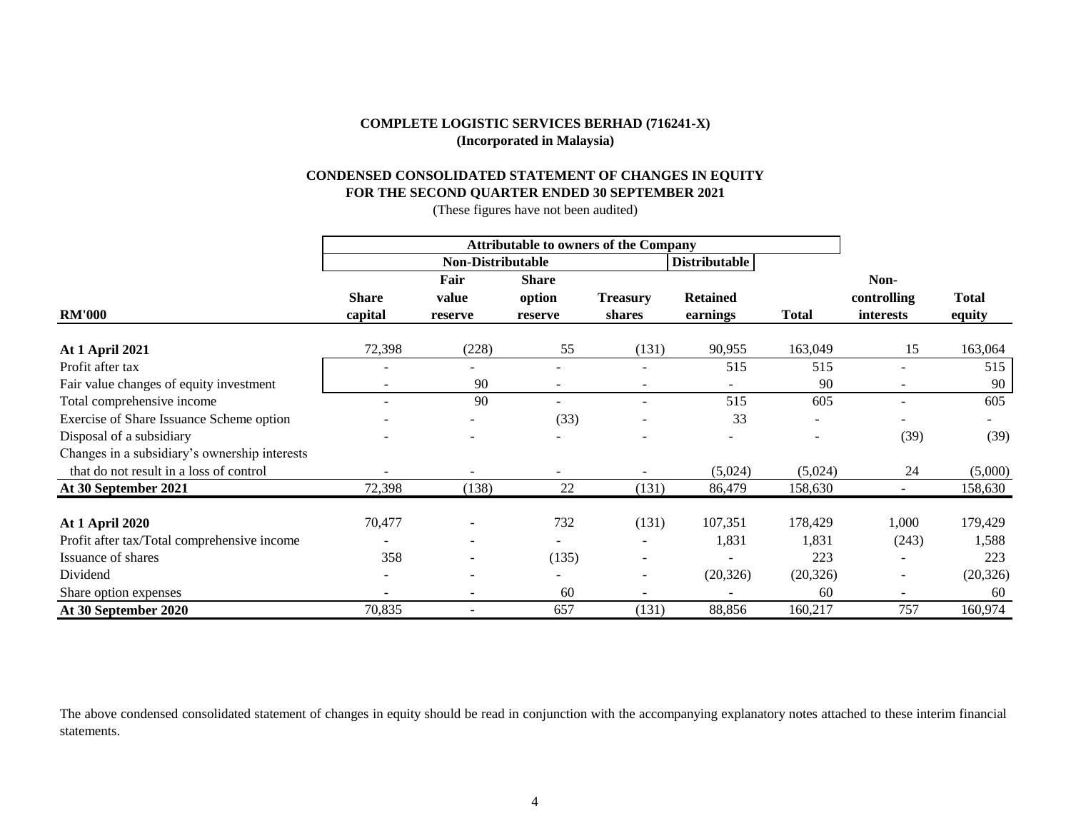# **CONDENSED CONSOLIDATED STATEMENT OF CHANGES IN EQUITY FOR THE SECOND QUARTER ENDED 30 SEPTEMBER 2021**

(These figures have not been audited)

|                                               |              | <b>Non-Distributable</b> |                          | <b>Distributable</b>     |                 |              |                          |              |
|-----------------------------------------------|--------------|--------------------------|--------------------------|--------------------------|-----------------|--------------|--------------------------|--------------|
|                                               |              | Fair                     | <b>Share</b>             |                          |                 |              | Non-                     |              |
|                                               | <b>Share</b> | value                    | option                   | <b>Treasury</b>          | <b>Retained</b> |              | controlling              | <b>Total</b> |
| <b>RM'000</b>                                 | capital      | reserve                  | reserve                  | shares                   | earnings        | <b>Total</b> | interests                | equity       |
| <b>At 1 April 2021</b>                        | 72,398       | (228)                    | 55                       | (131)                    | 90,955          | 163,049      | 15                       | 163,064      |
| Profit after tax                              |              |                          |                          |                          | 515             | 515          | $\overline{\phantom{a}}$ | 515          |
| Fair value changes of equity investment       |              | 90                       | $\overline{\phantom{a}}$ |                          |                 | 90           | $\overline{\phantom{a}}$ | 90           |
| Total comprehensive income                    |              | 90                       |                          |                          | 515             | 605          | $\blacksquare$           | 605          |
| Exercise of Share Issuance Scheme option      |              |                          | (33)                     |                          | 33              |              |                          |              |
| Disposal of a subsidiary                      |              |                          |                          |                          |                 |              | (39)                     | (39)         |
| Changes in a subsidiary's ownership interests |              |                          |                          |                          |                 |              |                          |              |
| that do not result in a loss of control       |              |                          |                          |                          | (5,024)         | (5,024)      | 24                       | (5,000)      |
| At 30 September 2021                          | 72,398       | (138)                    | 22                       | (131)                    | 86,479          | 158,630      |                          | 158,630      |
| <b>At 1 April 2020</b>                        | 70,477       |                          | 732                      | (131)                    | 107,351         | 178,429      | 1,000                    | 179,429      |
| Profit after tax/Total comprehensive income   |              |                          |                          |                          | 1,831           | 1,831        | (243)                    | 1,588        |
| Issuance of shares                            | 358          | $\overline{\phantom{a}}$ | (135)                    | $\overline{\phantom{a}}$ |                 | 223          | $\overline{\phantom{a}}$ | 223          |
| Dividend                                      |              | $\overline{\phantom{a}}$ |                          | $\overline{\phantom{a}}$ | (20, 326)       | (20, 326)    | $\overline{\phantom{a}}$ | (20, 326)    |
| Share option expenses                         |              | $\overline{\phantom{a}}$ | 60                       | $\overline{\phantom{a}}$ |                 | 60           | $\overline{\phantom{a}}$ | 60           |
| At 30 September 2020                          | 70,835       |                          | 657                      | (131)                    | 88,856          | 160,217      | 757                      | 160,974      |

The above condensed consolidated statement of changes in equity should be read in conjunction with the accompanying explanatory notes attached to these interim financial statements.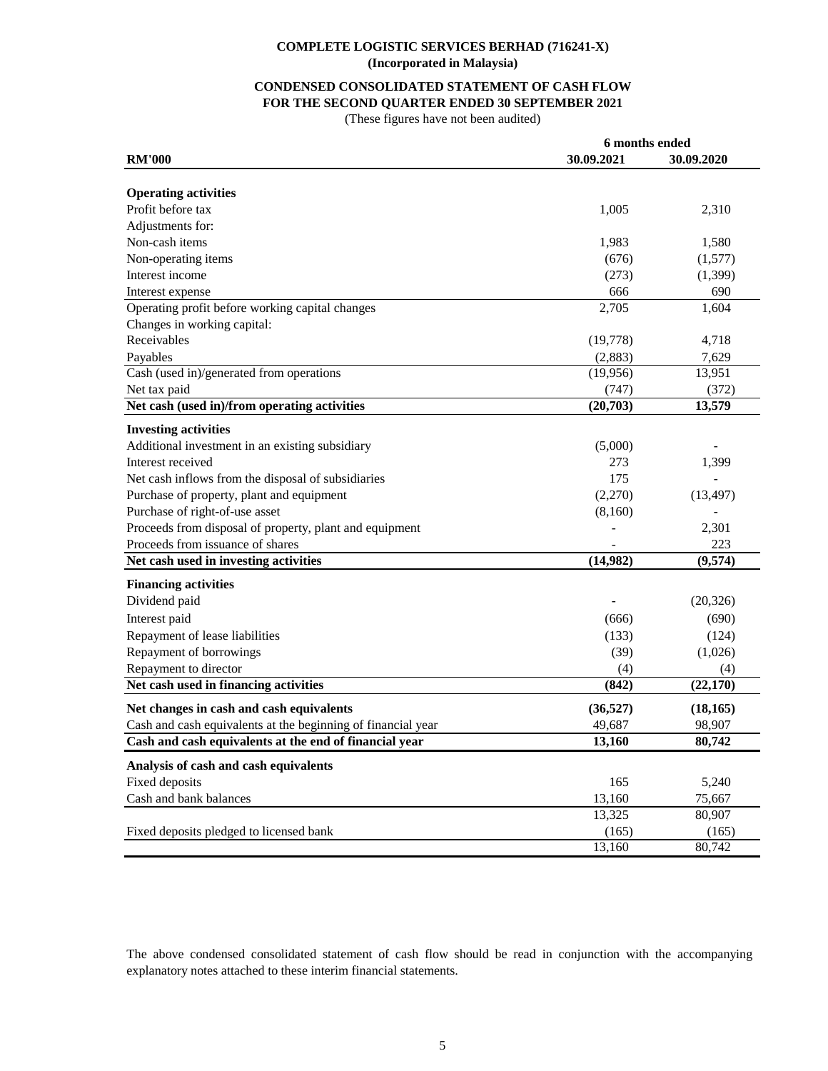# **CONDENSED CONSOLIDATED STATEMENT OF CASH FLOW FOR THE SECOND QUARTER ENDED 30 SEPTEMBER 2021**

(These figures have not been audited)

| 30.09.2021<br><b>RM'000</b>                                  |           | 30.09.2020 |
|--------------------------------------------------------------|-----------|------------|
|                                                              |           |            |
| <b>Operating activities</b>                                  |           |            |
| Profit before tax                                            | 1,005     | 2,310      |
| Adjustments for:                                             |           |            |
| Non-cash items                                               | 1,983     | 1,580      |
| Non-operating items                                          | (676)     | (1,577)    |
| Interest income                                              | (273)     | (1, 399)   |
| Interest expense                                             | 666       | 690        |
| Operating profit before working capital changes              | 2,705     | 1,604      |
| Changes in working capital:                                  |           |            |
| Receivables                                                  | (19,778)  | 4,718      |
| Payables                                                     | (2,883)   | 7,629      |
| Cash (used in)/generated from operations                     | (19,956)  | 13,951     |
| Net tax paid                                                 | (747)     | (372)      |
| Net cash (used in)/from operating activities                 | (20,703)  | 13,579     |
| <b>Investing activities</b>                                  |           |            |
| Additional investment in an existing subsidiary              | (5,000)   |            |
| Interest received                                            | 273       | 1,399      |
| Net cash inflows from the disposal of subsidiaries           | 175       |            |
| Purchase of property, plant and equipment                    | (2,270)   | (13, 497)  |
| Purchase of right-of-use asset                               | (8,160)   |            |
| Proceeds from disposal of property, plant and equipment      |           | 2,301      |
| Proceeds from issuance of shares                             |           | 223        |
| Net cash used in investing activities                        | (14,982)  | (9,574)    |
| <b>Financing activities</b>                                  |           |            |
| Dividend paid                                                |           | (20, 326)  |
| Interest paid                                                | (666)     | (690)      |
| Repayment of lease liabilities                               | (133)     | (124)      |
| Repayment of borrowings                                      | (39)      | (1,026)    |
| Repayment to director                                        | (4)       | (4)        |
| Net cash used in financing activities                        | (842)     | (22, 170)  |
| Net changes in cash and cash equivalents                     | (36, 527) | (18, 165)  |
| Cash and cash equivalents at the beginning of financial year | 49,687    | 98,907     |
| Cash and cash equivalents at the end of financial year       | 13.160    | 80,742     |
| Analysis of cash and cash equivalents                        |           |            |
| Fixed deposits                                               | 165       | 5,240      |
| Cash and bank balances                                       | 13,160    | 75,667     |
|                                                              | 13,325    | 80,907     |
| Fixed deposits pledged to licensed bank                      | (165)     | (165)      |
|                                                              | 13,160    | 80,742     |

The above condensed consolidated statement of cash flow should be read in conjunction with the accompanying explanatory notes attached to these interim financial statements.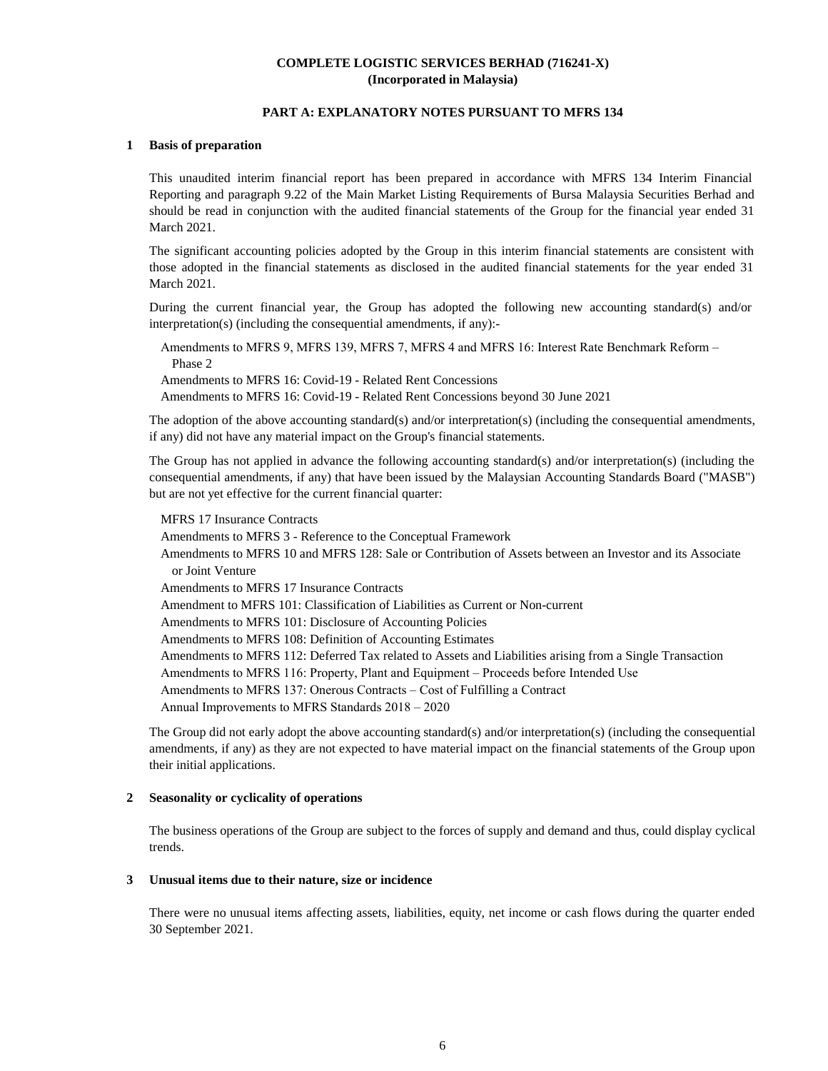# **PART A: EXPLANATORY NOTES PURSUANT TO MFRS 134**

#### **1 Basis of preparation**

This unaudited interim financial report has been prepared in accordance with MFRS 134 Interim Financial Reporting and paragraph 9.22 of the Main Market Listing Requirements of Bursa Malaysia Securities Berhad and should be read in conjunction with the audited financial statements of the Group for the financial year ended 31 March 2021.

The significant accounting policies adopted by the Group in this interim financial statements are consistent with those adopted in the financial statements as disclosed in the audited financial statements for the year ended 31 March 2021.

During the current financial year, the Group has adopted the following new accounting standard(s) and/or interpretation(s) (including the consequential amendments, if any):-

Amendments to MFRS 9, MFRS 139, MFRS 7, MFRS 4 and MFRS 16: Interest Rate Benchmark Reform – Phase 2 Amendments to MFRS 16: Covid-19 - Related Rent Concessions

Amendments to MFRS 16: Covid-19 - Related Rent Concessions beyond 30 June 2021

The adoption of the above accounting standard(s) and/or interpretation(s) (including the consequential amendments, if any) did not have any material impact on the Group's financial statements.

The Group has not applied in advance the following accounting standard(s) and/or interpretation(s) (including the consequential amendments, if any) that have been issued by the Malaysian Accounting Standards Board ("MASB") but are not yet effective for the current financial quarter:

MFRS 17 Insurance Contracts Amendments to MFRS 3 - Reference to the Conceptual Framework Amendments to MFRS 10 and MFRS 128: Sale or Contribution of Assets between an Investor and its Associate or Joint Venture Amendments to MFRS 17 Insurance Contracts Amendment to MFRS 101: Classification of Liabilities as Current or Non-current Amendments to MFRS 101: Disclosure of Accounting Policies Amendments to MFRS 108: Definition of Accounting Estimates Amendments to MFRS 112: Deferred Tax related to Assets and Liabilities arising from a Single Transaction Amendments to MFRS 116: Property, Plant and Equipment – Proceeds before Intended Use Amendments to MFRS 137: Onerous Contracts – Cost of Fulfilling a Contract Annual Improvements to MFRS Standards 2018 – 2020

The Group did not early adopt the above accounting standard(s) and/or interpretation(s) (including the consequential amendments, if any) as they are not expected to have material impact on the financial statements of the Group upon their initial applications.

#### **2 Seasonality or cyclicality of operations**

The business operations of the Group are subject to the forces of supply and demand and thus, could display cyclical trends.

#### **3 Unusual items due to their nature, size or incidence**

There were no unusual items affecting assets, liabilities, equity, net income or cash flows during the quarter ended 30 September 2021.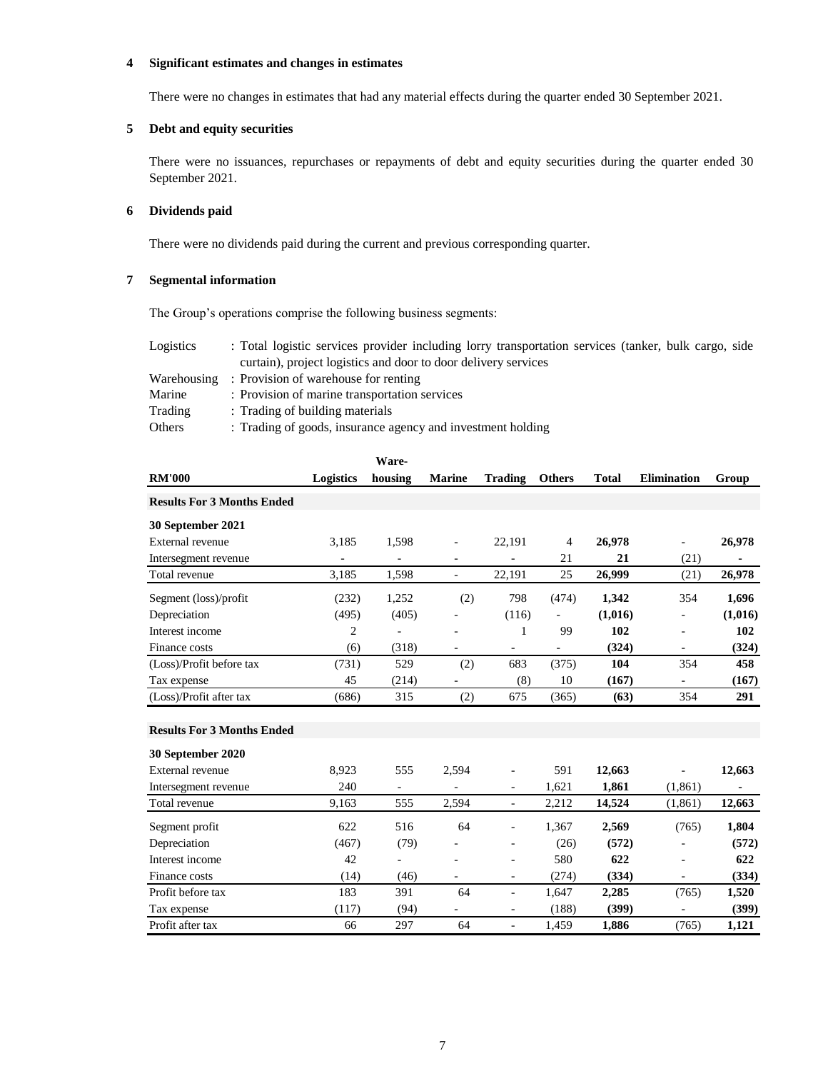## **4 Significant estimates and changes in estimates**

There were no changes in estimates that had any material effects during the quarter ended 30 September 2021.

# **5 Debt and equity securities**

There were no issuances, repurchases or repayments of debt and equity securities during the quarter ended 30 September 2021.

# **6 Dividends paid**

There were no dividends paid during the current and previous corresponding quarter.

# **7 Segmental information**

The Group's operations comprise the following business segments:

| Logistics   | : Total logistic services provider including lorry transportation services (tanker, bulk cargo, side |
|-------------|------------------------------------------------------------------------------------------------------|
|             | curtain), project logistics and door to door delivery services                                       |
| Warehousing | : Provision of warehouse for renting                                                                 |
| Marine      | : Provision of marine transportation services                                                        |
| Trading     | : Trading of building materials                                                                      |
| Others      | : Trading of goods, insurance agency and investment holding                                          |

|                                   |                          | Ware-                        |                              |                              |                          |              |                          |         |
|-----------------------------------|--------------------------|------------------------------|------------------------------|------------------------------|--------------------------|--------------|--------------------------|---------|
| <b>RM'000</b>                     | Logistics                | housing                      | <b>Marine</b>                | <b>Trading</b>               | <b>Others</b>            | <b>Total</b> | <b>Elimination</b>       | Group   |
| <b>Results For 3 Months Ended</b> |                          |                              |                              |                              |                          |              |                          |         |
| 30 September 2021                 |                          |                              |                              |                              |                          |              |                          |         |
| External revenue                  | 3,185                    | 1,598                        | $\blacksquare$               | 22,191                       | 4                        | 26,978       | $\blacksquare$           | 26,978  |
| Intersegment revenue              | $\overline{\phantom{0}}$ | $\qquad \qquad \blacksquare$ | $\overline{\phantom{a}}$     | $\blacksquare$               | 21                       | 21           | (21)                     | ۰       |
| Total revenue                     | 3,185                    | 1,598                        | $\frac{1}{2}$                | 22,191                       | 25                       | 26,999       | (21)                     | 26,978  |
| Segment (loss)/profit             | (232)                    | 1,252                        | (2)                          | 798                          | (474)                    | 1,342        | 354                      | 1,696   |
| Depreciation                      | (495)                    | (405)                        | $\blacksquare$               | (116)                        |                          | (1,016)      |                          | (1,016) |
| Interest income                   | $\overline{c}$           | ÷,                           |                              | 1                            | 99                       | 102          | ä,                       | 102     |
| Finance costs                     | (6)                      | (318)                        | ÷,                           | $\overline{\phantom{a}}$     | $\overline{\phantom{0}}$ | (324)        | $\overline{\phantom{a}}$ | (324)   |
| (Loss)/Profit before tax          | (731)                    | 529                          | (2)                          | 683                          | (375)                    | 104          | 354                      | 458     |
| Tax expense                       | 45                       | (214)                        | L,                           | (8)                          | 10                       | (167)        | $\blacksquare$           | (167)   |
| (Loss)/Profit after tax           | (686)                    | 315                          | (2)                          | 675                          | (365)                    | (63)         | 354                      | 291     |
| <b>Results For 3 Months Ended</b> |                          |                              |                              |                              |                          |              |                          |         |
| 30 September 2020                 |                          |                              |                              |                              |                          |              |                          |         |
| External revenue                  | 8,923                    | 555                          | 2,594                        |                              | 591                      | 12,663       | $\overline{\phantom{a}}$ | 12,663  |
| Intersegment revenue              | 240                      | $\overline{\phantom{a}}$     | $\qquad \qquad \blacksquare$ | $\overline{\phantom{a}}$     | 1,621                    | 1,861        | (1, 861)                 |         |
| Total revenue                     | 9,163                    | 555                          | 2,594                        | $\blacksquare$               | 2,212                    | 14,524       | (1, 861)                 | 12,663  |
| Segment profit                    | 622                      | 516                          | 64                           | $\blacksquare$               | 1,367                    | 2,569        | (765)                    | 1,804   |
| Depreciation                      | (467)                    | (79)                         |                              |                              | (26)                     | (572)        |                          | (572)   |
| Interest income                   | 42                       | ÷,                           |                              | $\blacksquare$               | 580                      | 622          |                          | 622     |
| Finance costs                     | (14)                     | (46)                         | $\overline{a}$               | $\qquad \qquad \blacksquare$ | (274)                    | (334)        | $\overline{\phantom{a}}$ | (334)   |
| Profit before tax                 | 183                      | 391                          | 64                           | $\blacksquare$               | 1,647                    | 2,285        | (765)                    | 1,520   |
| Tax expense                       | (117)                    | (94)                         | $\overline{\phantom{0}}$     | $\qquad \qquad \blacksquare$ | (188)                    | (399)        | $\overline{\phantom{a}}$ | (399)   |
| Profit after tax                  | 66                       | 297                          | 64                           | $\blacksquare$               | 1,459                    | 1.886        | (765)                    | 1.121   |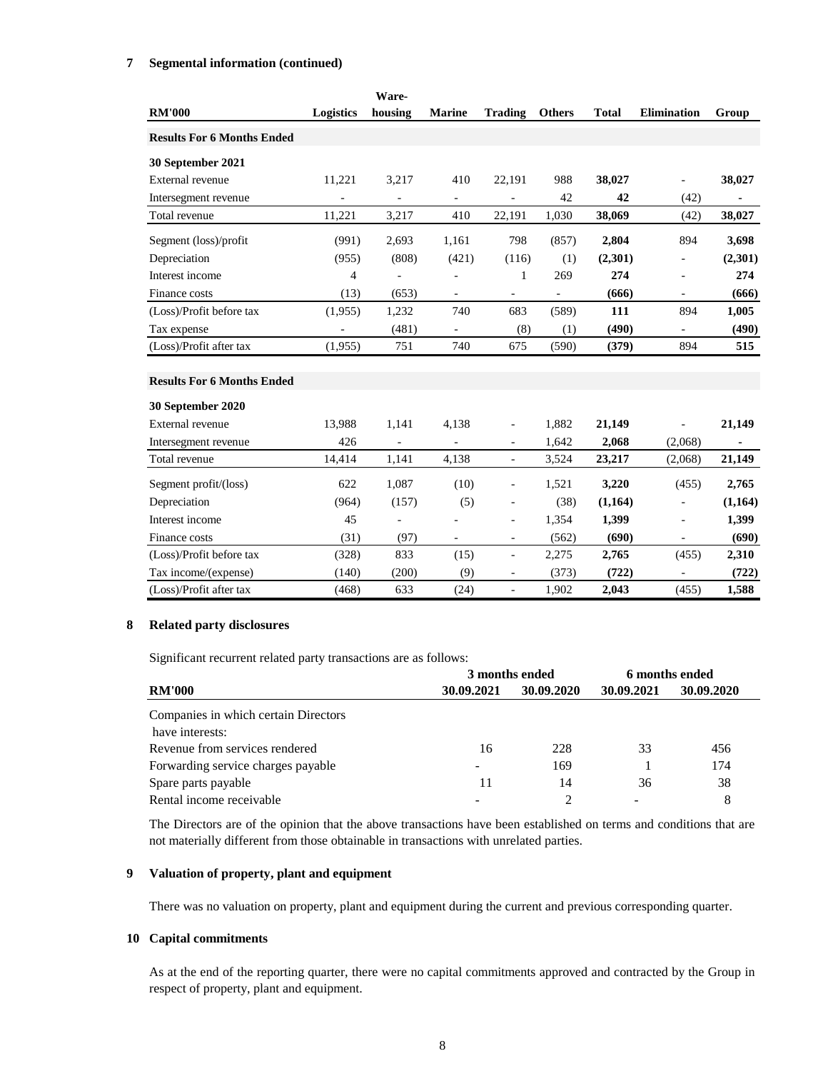# **7 Segmental information (continued)**

|                                   |                | Ware-                    |                          |                              |               |              |                          |         |
|-----------------------------------|----------------|--------------------------|--------------------------|------------------------------|---------------|--------------|--------------------------|---------|
| <b>RM'000</b>                     | Logistics      | housing                  | <b>Marine</b>            | <b>Trading</b>               | <b>Others</b> | <b>Total</b> | <b>Elimination</b>       | Group   |
| <b>Results For 6 Months Ended</b> |                |                          |                          |                              |               |              |                          |         |
| 30 September 2021                 |                |                          |                          |                              |               |              |                          |         |
| External revenue                  | 11,221         | 3,217                    | 410                      | 22,191                       | 988           | 38,027       | $\blacksquare$           | 38,027  |
| Intersegment revenue              |                |                          |                          |                              | 42            | 42           | (42)                     | ٠       |
| Total revenue                     | 11,221         | 3,217                    | 410                      | 22,191                       | 1,030         | 38,069       | (42)                     | 38,027  |
| Segment (loss)/profit             | (991)          | 2,693                    | 1,161                    | 798                          | (857)         | 2,804        | 894                      | 3,698   |
| Depreciation                      | (955)          | (808)                    | (421)                    | (116)                        | (1)           | (2,301)      | $\overline{\phantom{a}}$ | (2,301) |
| Interest income                   | 4              |                          | ÷,                       | 1                            | 269           | 274          | $\blacksquare$           | 274     |
| Finance costs                     | (13)           | (653)                    | $\blacksquare$           | $\overline{\phantom{0}}$     |               | (666)        | $\blacksquare$           | (666)   |
| (Loss)/Profit before tax          | (1,955)        | 1,232                    | 740                      | 683                          | (589)         | 111          | 894                      | 1,005   |
| Tax expense                       | $\blacksquare$ | (481)                    | $\blacksquare$           | (8)                          | (1)           | (490)        | $\frac{1}{2}$            | (490)   |
| (Loss)/Profit after tax           | (1,955)        | 751                      | 740                      | 675                          | (590)         | (379)        | 894                      | 515     |
| <b>Results For 6 Months Ended</b> |                |                          |                          |                              |               |              |                          |         |
| 30 September 2020                 |                |                          |                          |                              |               |              |                          |         |
| External revenue                  | 13,988         | 1,141                    | 4.138                    | $\overline{a}$               | 1,882         | 21,149       | $\overline{a}$           | 21,149  |
| Intersegment revenue              | 426            | $\overline{\phantom{0}}$ | $\blacksquare$           | $\overline{\phantom{0}}$     | 1,642         | 2,068        | (2,068)                  | ۰       |
| Total revenue                     | 14,414         | 1,141                    | 4,138                    | ÷,                           | 3,524         | 23,217       | (2,068)                  | 21,149  |
| Segment profit/(loss)             | 622            | 1,087                    | (10)                     | ÷,                           | 1,521         | 3,220        | (455)                    | 2,765   |
| Depreciation                      | (964)          | (157)                    | (5)                      | $\overline{a}$               | (38)          | (1,164)      | $\overline{a}$           | (1,164) |
| Interest income                   | 45             | ÷,                       |                          | $\overline{a}$               | 1,354         | 1,399        | $\blacksquare$           | 1,399   |
| Finance costs                     | (31)           | (97)                     | $\overline{\phantom{a}}$ | $\overline{\phantom{a}}$     | (562)         | (690)        | $\overline{\phantom{a}}$ | (690)   |
| (Loss)/Profit before tax          | (328)          | 833                      | (15)                     | $\overline{\phantom{0}}$     | 2,275         | 2,765        | (455)                    | 2,310   |
| Tax income/(expense)              | (140)          | (200)                    | (9)                      | $\qquad \qquad \blacksquare$ | (373)         | (722)        | $\blacksquare$           | (722)   |
| (Loss)/Profit after tax           | (468)          | 633                      | (24)                     | $\overline{\phantom{0}}$     | 1,902         | 2,043        | (455)                    | 1,588   |

# **8 Related party disclosures**

Significant recurrent related party transactions are as follows:

|                                      |                          | 3 months ended | 6 months ended |            |  |
|--------------------------------------|--------------------------|----------------|----------------|------------|--|
| <b>RM'000</b>                        | 30.09.2021               | 30.09.2020     | 30.09.2021     | 30.09.2020 |  |
| Companies in which certain Directors |                          |                |                |            |  |
| have interests:                      |                          |                |                |            |  |
| Revenue from services rendered       | 16                       | 228            | 33             | 456        |  |
| Forwarding service charges payable   | $\overline{\phantom{0}}$ | 169            |                | 174        |  |
| Spare parts payable                  | 11                       | 14             | 36             | 38         |  |
| Rental income receivable             |                          |                |                | 8          |  |

The Directors are of the opinion that the above transactions have been established on terms and conditions that are not materially different from those obtainable in transactions with unrelated parties.

#### **9 Valuation of property, plant and equipment**

There was no valuation on property, plant and equipment during the current and previous corresponding quarter.

#### **10 Capital commitments**

As at the end of the reporting quarter, there were no capital commitments approved and contracted by the Group in respect of property, plant and equipment.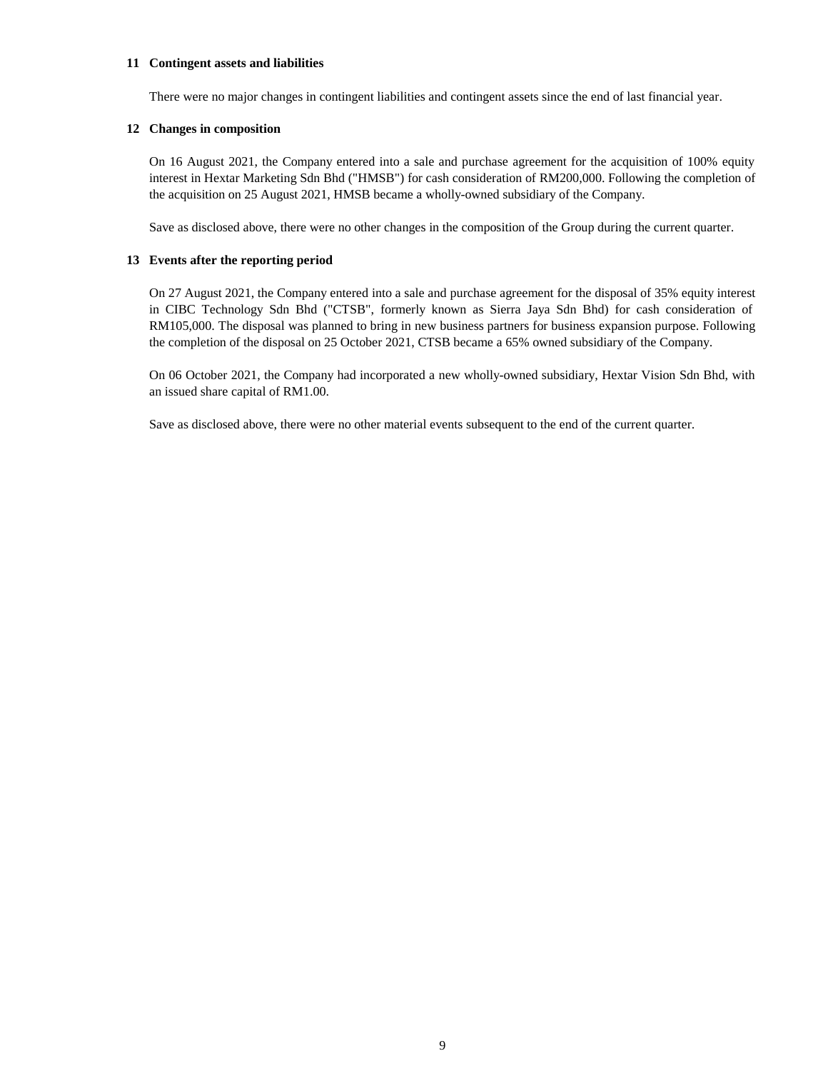#### **11 Contingent assets and liabilities**

There were no major changes in contingent liabilities and contingent assets since the end of last financial year.

#### **12 Changes in composition**

On 16 August 2021, the Company entered into a sale and purchase agreement for the acquisition of 100% equity interest in Hextar Marketing Sdn Bhd ("HMSB") for cash consideration of RM200,000. Following the completion of the acquisition on 25 August 2021, HMSB became a wholly-owned subsidiary of the Company.

Save as disclosed above, there were no other changes in the composition of the Group during the current quarter.

#### **13 Events after the reporting period**

On 27 August 2021, the Company entered into a sale and purchase agreement for the disposal of 35% equity interest in CIBC Technology Sdn Bhd ("CTSB", formerly known as Sierra Jaya Sdn Bhd) for cash consideration of RM105,000. The disposal was planned to bring in new business partners for business expansion purpose. Following the completion of the disposal on 25 October 2021, CTSB became a 65% owned subsidiary of the Company.

On 06 October 2021, the Company had incorporated a new wholly-owned subsidiary, Hextar Vision Sdn Bhd, with an issued share capital of RM1.00.

Save as disclosed above, there were no other material events subsequent to the end of the current quarter.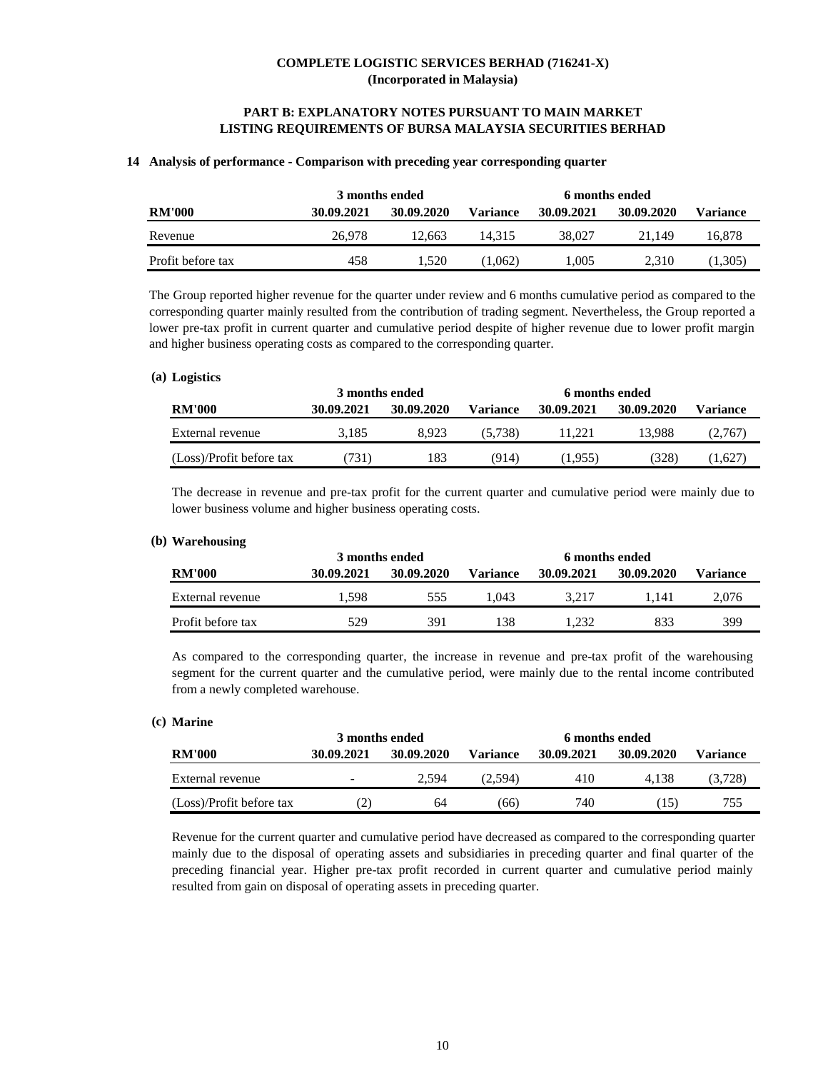# **PART B: EXPLANATORY NOTES PURSUANT TO MAIN MARKET LISTING REQUIREMENTS OF BURSA MALAYSIA SECURITIES BERHAD**

#### **14 Analysis of performance - Comparison with preceding year corresponding quarter**

|                   | 3 months ended |            |          |            |            |          |
|-------------------|----------------|------------|----------|------------|------------|----------|
| <b>RM'000</b>     | 30.09.2021     | 30.09.2020 | Variance | 30.09.2021 | 30.09.2020 | Variance |
| Revenue           | 26,978         | 12.663     | 14.315   | 38,027     | 21.149     | 16.878   |
| Profit before tax | 458            | 1.520      | 1.062)   | 1.005      | 2.310      | (1,305)  |

The Group reported higher revenue for the quarter under review and 6 months cumulative period as compared to the corresponding quarter mainly resulted from the contribution of trading segment. Nevertheless, the Group reported a lower pre-tax profit in current quarter and cumulative period despite of higher revenue due to lower profit margin and higher business operating costs as compared to the corresponding quarter.

#### **Logistics (a)**

|                          | 3 months ended |            | 6 months ended |            |            |          |  |  |
|--------------------------|----------------|------------|----------------|------------|------------|----------|--|--|
| <b>RM'000</b>            | 30.09.2021     | 30.09.2020 | Variance       | 30.09.2021 | 30.09.2020 | Variance |  |  |
| External revenue         | 3.185          | 8.923      | (5.738)        | 11.221     | 13.988     | (2,767)  |  |  |
| (Loss)/Profit before tax | 731)           | 183        | (914)          | (1.955)    | (328)      | (1.627)  |  |  |

The decrease in revenue and pre-tax profit for the current quarter and cumulative period were mainly due to lower business volume and higher business operating costs.

#### **Warehousing (b)**

|                   | 3 months ended |            | 6 months ended  |            |            |                 |  |  |
|-------------------|----------------|------------|-----------------|------------|------------|-----------------|--|--|
| <b>RM'000</b>     | 30.09.2021     | 30.09.2020 | <b>Variance</b> | 30.09.2021 | 30.09.2020 | <b>Variance</b> |  |  |
| External revenue  | 1.598          | 555        | .043            | 3.217      | .141       | 2.076           |  |  |
| Profit before tax | 529            | 391        | 138             | .232       | 833        | 399             |  |  |

As compared to the corresponding quarter, the increase in revenue and pre-tax profit of the warehousing segment for the current quarter and the cumulative period, were mainly due to the rental income contributed from a newly completed warehouse.

# **Marine (c)**

|                          | 3 months ended |            | 6 months ended  |            |            |                 |  |
|--------------------------|----------------|------------|-----------------|------------|------------|-----------------|--|
| <b>RM'000</b>            | 30.09.2021     | 30.09.2020 | <b>Variance</b> | 30.09.2021 | 30.09.2020 | <b>Variance</b> |  |
| External revenue         | -              | 2.594      | (2.594)         | 410        | 4.138      | (3.728)         |  |
| (Loss)/Profit before tax | (2)            | 64         | (66)            | 740        | [15]       | 755             |  |

Revenue for the current quarter and cumulative period have decreased as compared to the corresponding quarter mainly due to the disposal of operating assets and subsidiaries in preceding quarter and final quarter of the preceding financial year. Higher pre-tax profit recorded in current quarter and cumulative period mainly resulted from gain on disposal of operating assets in preceding quarter.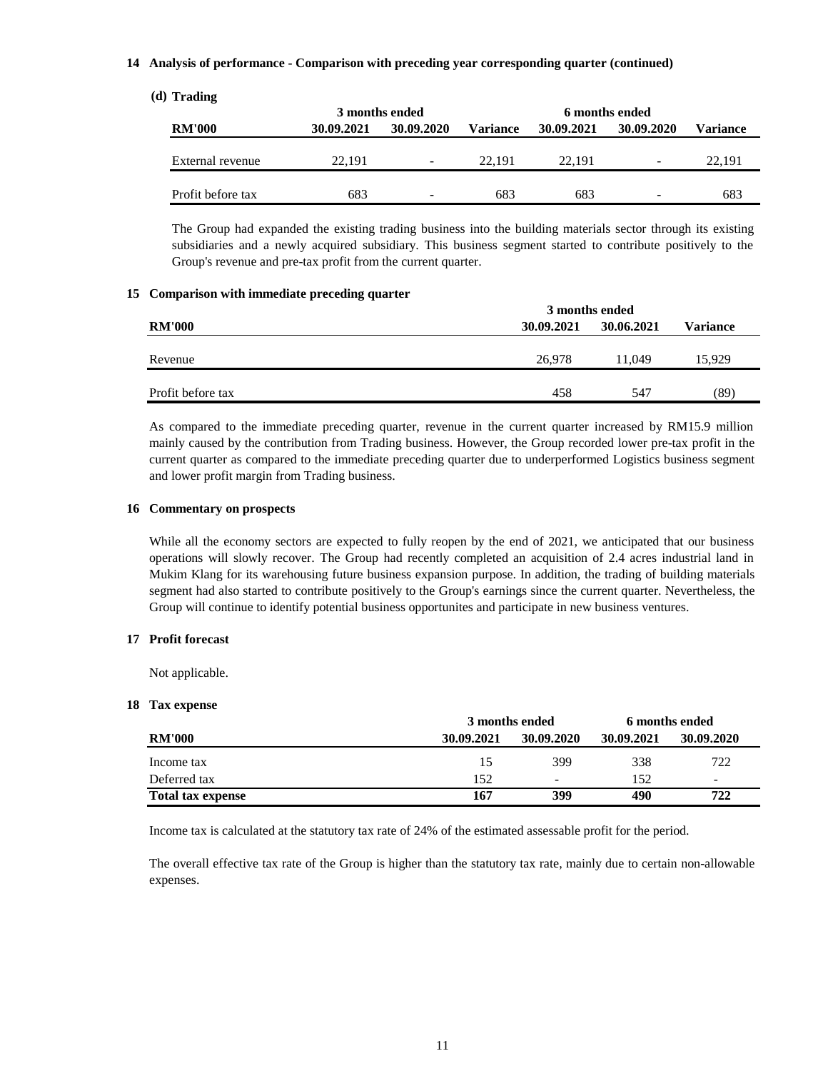## **14 Analysis of performance - Comparison with preceding year corresponding quarter (continued)**

### **Trading (d)**

|                   | 3 months ended |                          |          | 6 months ended |            |          |  |
|-------------------|----------------|--------------------------|----------|----------------|------------|----------|--|
| <b>RM'000</b>     | 30.09.2021     | 30.09.2020               | Variance | 30.09.2021     | 30.09.2020 | Variance |  |
|                   |                |                          |          |                |            |          |  |
| External revenue  | 22.191         | $\overline{\phantom{a}}$ | 22.191   | 22.191         | -          | 22.191   |  |
|                   |                |                          |          |                |            |          |  |
| Profit before tax | 683            | ۰.                       | 683      | 683            | ۰          | 683      |  |

The Group had expanded the existing trading business into the building materials sector through its existing subsidiaries and a newly acquired subsidiary. This business segment started to contribute positively to the Group's revenue and pre-tax profit from the current quarter.

#### **15 Comparison with immediate preceding quarter**

|                   | 3 months ended           |        |          |  |  |
|-------------------|--------------------------|--------|----------|--|--|
| <b>RM'000</b>     | 30.06.2021<br>30.09.2021 |        | Variance |  |  |
|                   |                          |        |          |  |  |
| Revenue           | 26.978                   | 11.049 | 15.929   |  |  |
|                   |                          |        |          |  |  |
| Profit before tax | 458                      | 547    | (89)     |  |  |

As compared to the immediate preceding quarter, revenue in the current quarter increased by RM15.9 million mainly caused by the contribution from Trading business. However, the Group recorded lower pre-tax profit in the current quarter as compared to the immediate preceding quarter due to underperformed Logistics business segment and lower profit margin from Trading business.

# **16 Commentary on prospects**

While all the economy sectors are expected to fully reopen by the end of 2021, we anticipated that our business operations will slowly recover. The Group had recently completed an acquisition of 2.4 acres industrial land in Mukim Klang for its warehousing future business expansion purpose. In addition, the trading of building materials segment had also started to contribute positively to the Group's earnings since the current quarter. Nevertheless, the Group will continue to identify potential business opportunites and participate in new business ventures.

### **17 Profit forecast**

Not applicable.

#### **18 Tax expense**

|                          | 3 months ended |            | 6 months ended |                          |
|--------------------------|----------------|------------|----------------|--------------------------|
| <b>RM'000</b>            | 30.09.2021     | 30.09.2020 | 30.09.2021     | 30.09.2020               |
| Income tax               | 15             | 399        | 338            | 722                      |
| Deferred tax             | 152            | -          | 152            | $\overline{\phantom{a}}$ |
| <b>Total tax expense</b> | 167            | 399        | 490            | 722                      |

Income tax is calculated at the statutory tax rate of 24% of the estimated assessable profit for the period.

The overall effective tax rate of the Group is higher than the statutory tax rate, mainly due to certain non-allowable expenses.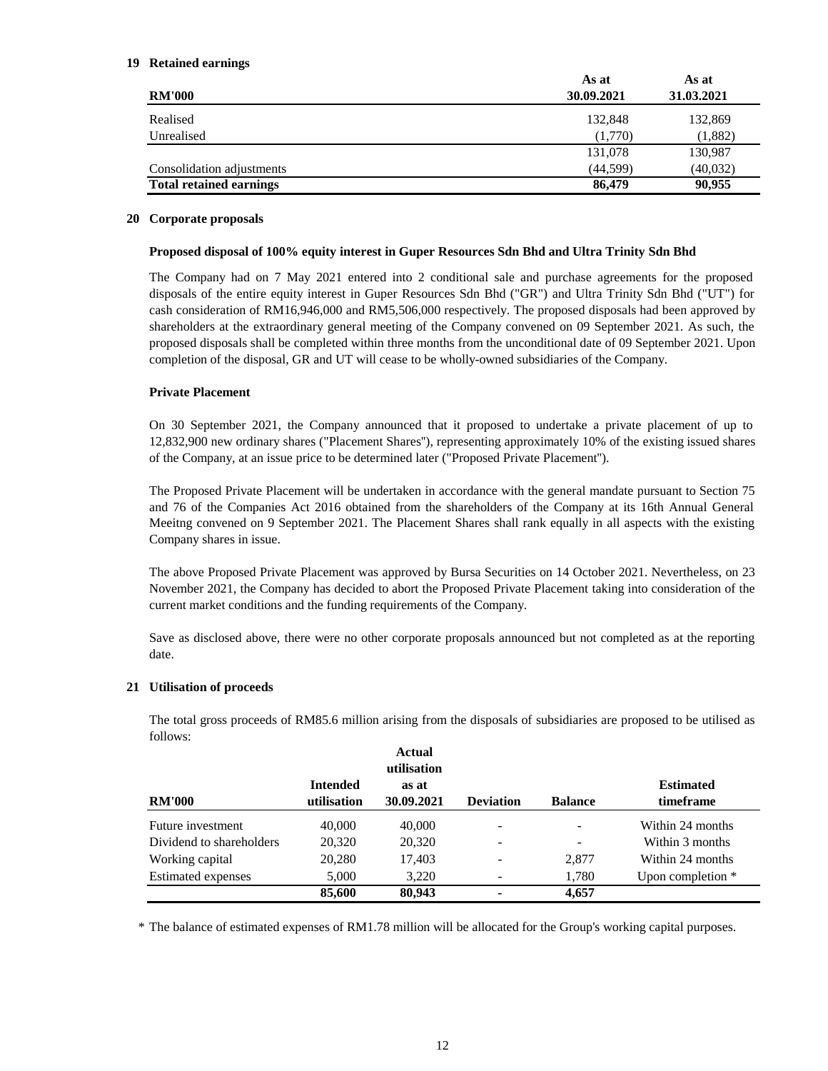### **Retained earnings 19**

| <b>RM'000</b>                  | As at<br>30.09.2021 | As at<br>31.03.2021 |
|--------------------------------|---------------------|---------------------|
| Realised                       | 132,848             | 132,869             |
| Unrealised                     | (1,770)             | (1,882)             |
|                                | 131,078             | 130,987             |
| Consolidation adjustments      | (44, 599)           | (40,032)            |
| <b>Total retained earnings</b> | 86,479              | 90,955              |

#### **Corporate proposals 20**

### **Proposed disposal of 100% equity interest in Guper Resources Sdn Bhd and Ultra Trinity Sdn Bhd**

The Company had on 7 May 2021 entered into 2 conditional sale and purchase agreements for the proposed disposals of the entire equity interest in Guper Resources Sdn Bhd ("GR") and Ultra Trinity Sdn Bhd ("UT") for cash consideration of RM16,946,000 and RM5,506,000 respectively. The proposed disposals had been approved by shareholders at the extraordinary general meeting of the Company convened on 09 September 2021. As such, the proposed disposals shall be completed within three months from the unconditional date of 09 September 2021. Upon completion of the disposal, GR and UT will cease to be wholly-owned subsidiaries of the Company.

# **Private Placement**

On 30 September 2021, the Company announced that it proposed to undertake a private placement of up to 12,832,900 new ordinary shares ("Placement Shares''), representing approximately 10% of the existing issued shares of the Company, at an issue price to be determined later ("Proposed Private Placement'').

The Proposed Private Placement will be undertaken in accordance with the general mandate pursuant to Section 75 and 76 of the Companies Act 2016 obtained from the shareholders of the Company at its 16th Annual General Meeitng convened on 9 September 2021. The Placement Shares shall rank equally in all aspects with the existing Company shares in issue.

The above Proposed Private Placement was approved by Bursa Securities on 14 October 2021. Nevertheless, on 23 November 2021, the Company has decided to abort the Proposed Private Placement taking into consideration of the current market conditions and the funding requirements of the Company.

Save as disclosed above, there were no other corporate proposals announced but not completed as at the reporting date.

# **21 Utilisation of proceeds**

The total gross proceeds of RM85.6 million arising from the disposals of subsidiaries are proposed to be utilised as follows:

| <b>RM'000</b>             | <b>Intended</b><br>utilisation | <b>Actual</b><br>utilisation<br>as at<br>30.09.2021 | <b>Deviation</b> | <b>Balance</b>           | <b>Estimated</b><br>timeframe |
|---------------------------|--------------------------------|-----------------------------------------------------|------------------|--------------------------|-------------------------------|
| Future investment         | 40,000                         | 40,000                                              | -                | $\overline{\phantom{a}}$ | Within 24 months              |
| Dividend to shareholders  | 20,320                         | 20,320                                              | -                |                          | Within 3 months               |
| Working capital           | 20,280                         | 17,403                                              | -                | 2,877                    | Within 24 months              |
| <b>Estimated expenses</b> | 5,000                          | 3.220                                               |                  | 1.780                    | Upon completion $*$           |
|                           | 85,600                         | 80,943                                              |                  | 4,657                    |                               |

\* The balance of estimated expenses of RM1.78 million will be allocated for the Group's working capital purposes.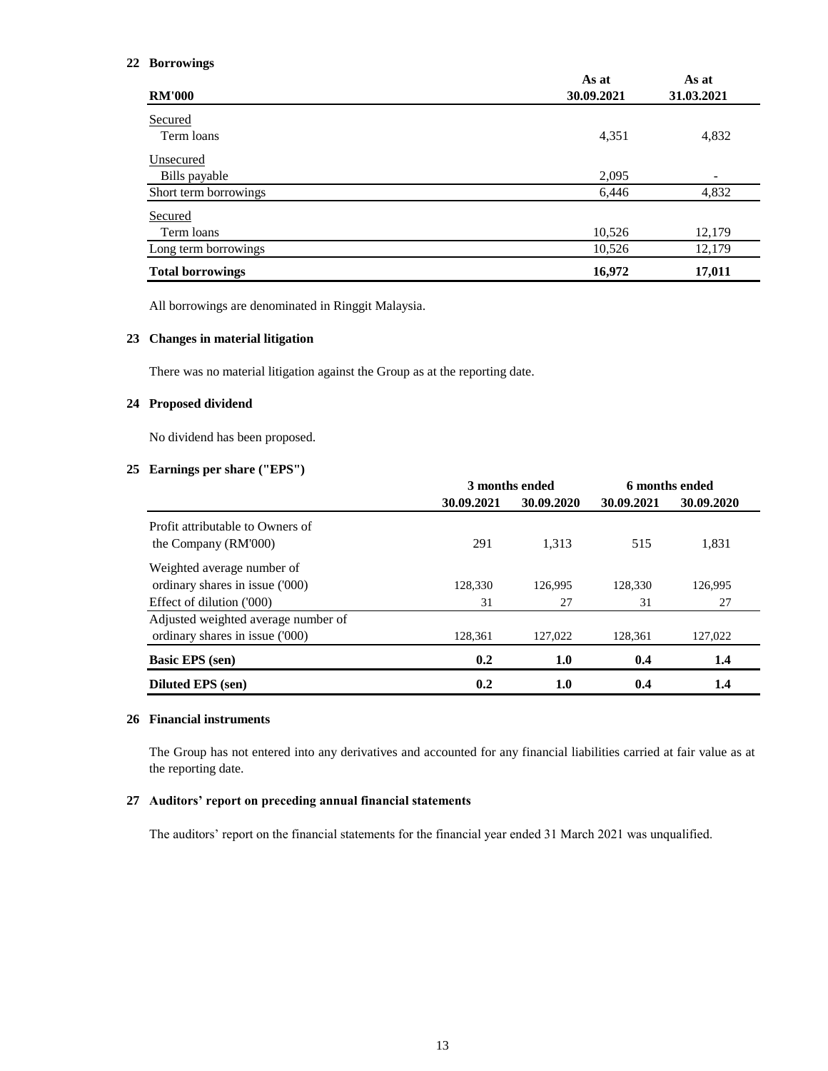#### **22 Borrowings**

|                         | As at      | As at      |
|-------------------------|------------|------------|
| <b>RM'000</b>           | 30.09.2021 | 31.03.2021 |
| Secured                 |            |            |
| Term loans              | 4,351      | 4,832      |
| Unsecured               |            |            |
| Bills payable           | 2,095      |            |
| Short term borrowings   | 6,446      | 4,832      |
| Secured                 |            |            |
| Term loans              | 10,526     | 12,179     |
| Long term borrowings    | 10,526     | 12,179     |
| <b>Total borrowings</b> | 16,972     | 17,011     |

All borrowings are denominated in Ringgit Malaysia.

#### **23 Changes in material litigation**

There was no material litigation against the Group as at the reporting date.

#### **24 Proposed dividend**

No dividend has been proposed.

# **25 Earnings per share ("EPS")**

|                                     | 3 months ended |            |            | 6 months ended |
|-------------------------------------|----------------|------------|------------|----------------|
|                                     | 30.09.2021     | 30.09.2020 | 30.09.2021 | 30.09.2020     |
| Profit attributable to Owners of    |                |            |            |                |
| the Company (RM'000)                | 291            | 1.313      | 515        | 1,831          |
| Weighted average number of          |                |            |            |                |
| ordinary shares in issue ('000)     | 128,330        | 126.995    | 128.330    | 126.995        |
| Effect of dilution ('000)           | 31             | 27         | 31         | 27             |
| Adjusted weighted average number of |                |            |            |                |
| ordinary shares in issue ('000)     | 128,361        | 127,022    | 128,361    | 127,022        |
| <b>Basic EPS</b> (sen)              | 0.2            | 1.0        | 0.4        | 1.4            |
| <b>Diluted EPS</b> (sen)            | 0.2            | 1.0        | 0.4        | 1.4            |

# **26 Financial instruments**

The Group has not entered into any derivatives and accounted for any financial liabilities carried at fair value as at the reporting date.

# **27 Auditors' report on preceding annual financial statements**

The auditors' report on the financial statements for the financial year ended 31 March 2021 was unqualified.